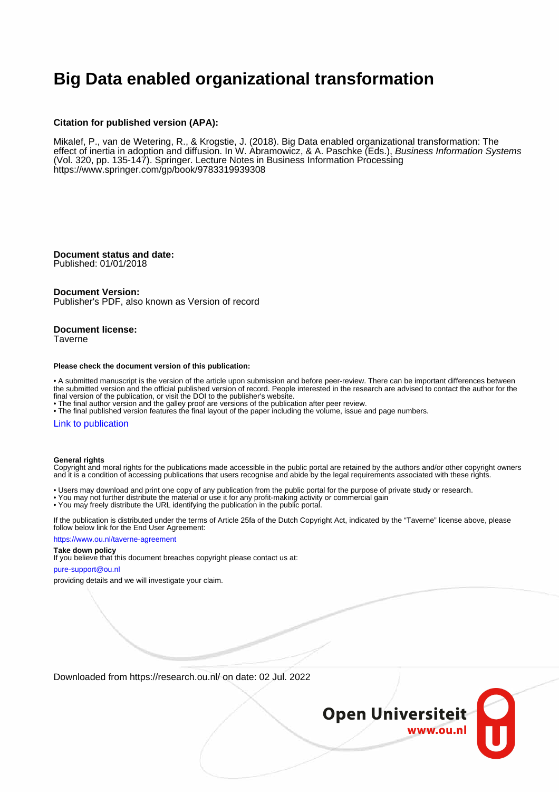# **Big Data enabled organizational transformation**

#### **Citation for published version (APA):**

Mikalef, P., van de Wetering, R., & Krogstie, J. (2018). Big Data enabled organizational transformation: The effect of inertia in adoption and diffusion. In W. Abramowicz, & A. Paschke (Eds.), *Business Information Systems* (Vol. 320, pp. 135-147). Springer. Lecture Notes in Business Information Processing <https://www.springer.com/gp/book/9783319939308>

# **Document status and date:**

Published: 01/01/2018

#### **Document Version:**

Publisher's PDF, also known as Version of record

### **Document license:**

Taverne

#### **Please check the document version of this publication:**

• A submitted manuscript is the version of the article upon submission and before peer-review. There can be important differences between the submitted version and the official published version of record. People interested in the research are advised to contact the author for the final version of the publication, or visit the DOI to the publisher's website.

• The final author version and the galley proof are versions of the publication after peer review.

• The final published version features the final layout of the paper including the volume, issue and page numbers.

#### [Link to publication](https://research.ou.nl/en/publications/da95f774-42cd-4176-9dbe-e73dbe380f94)

#### **General rights**

Copyright and moral rights for the publications made accessible in the public portal are retained by the authors and/or other copyright owners and it is a condition of accessing publications that users recognise and abide by the legal requirements associated with these rights.

- Users may download and print one copy of any publication from the public portal for the purpose of private study or research.
- You may not further distribute the material or use it for any profit-making activity or commercial gain
- You may freely distribute the URL identifying the publication in the public portal.

If the publication is distributed under the terms of Article 25fa of the Dutch Copyright Act, indicated by the "Taverne" license above, please follow below link for the End User Agreement:

#### https://www.ou.nl/taverne-agreement

# **Take down policy**

If you believe that this document breaches copyright please contact us at:

#### pure-support@ou.nl

providing details and we will investigate your claim.

Downloaded from https://research.ou.nl/ on date: 02 Jul. 2022

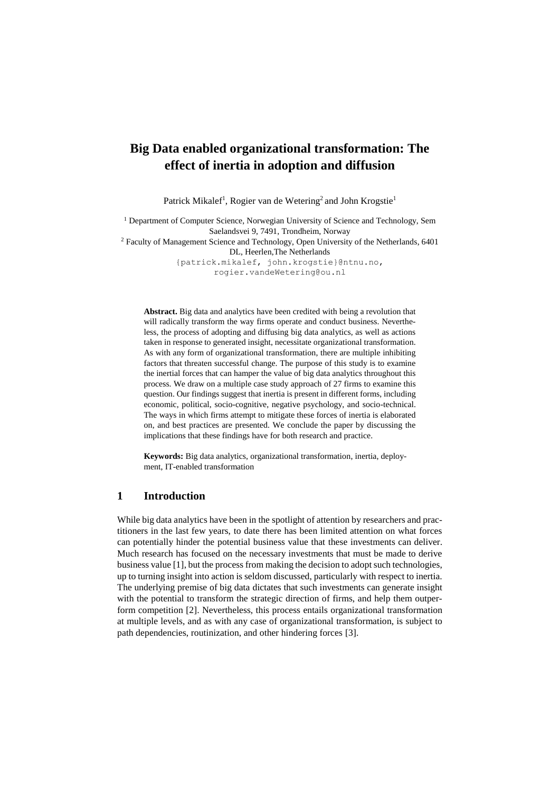# **Big Data enabled organizational transformation: The effect of inertia in adoption and diffusion**

Patrick Mikalef<sup>1</sup>, Rogier van de Wetering<sup>2</sup> and John Krogstie<sup>1</sup>

<sup>1</sup> Department of Computer Science, Norwegian University of Science and Technology, Sem Saelandsvei 9, 7491, Trondheim, Norway

<sup>2</sup> Faculty of Management Science and Technology, Open University of the Netherlands, 6401 DL, Heerlen,The Netherlands

{patrick.mikalef, john.krogsti[e}@ntnu.no,](mailto:%7d@ntnu.no) rogier.vandeWetering@ou.nl

**Abstract.** Big data and analytics have been credited with being a revolution that will radically transform the way firms operate and conduct business. Nevertheless, the process of adopting and diffusing big data analytics, as well as actions taken in response to generated insight, necessitate organizational transformation. As with any form of organizational transformation, there are multiple inhibiting factors that threaten successful change. The purpose of this study is to examine the inertial forces that can hamper the value of big data analytics throughout this process. We draw on a multiple case study approach of 27 firms to examine this question. Our findings suggest that inertia is present in different forms, including economic, political, socio-cognitive, negative psychology, and socio-technical. The ways in which firms attempt to mitigate these forces of inertia is elaborated on, and best practices are presented. We conclude the paper by discussing the implications that these findings have for both research and practice.

**Keywords:** Big data analytics, organizational transformation, inertia, deployment, IT-enabled transformation

# **1 Introduction**

While big data analytics have been in the spotlight of attention by researchers and practitioners in the last few years, to date there has been limited attention on what forces can potentially hinder the potential business value that these investments can deliver. Much research has focused on the necessary investments that must be made to derive business value [1], but the process from making the decision to adopt such technologies, up to turning insight into action is seldom discussed, particularly with respect to inertia. The underlying premise of big data dictates that such investments can generate insight with the potential to transform the strategic direction of firms, and help them outperform competition [2]. Nevertheless, this process entails organizational transformation at multiple levels, and as with any case of organizational transformation, is subject to path dependencies, routinization, and other hindering forces [3].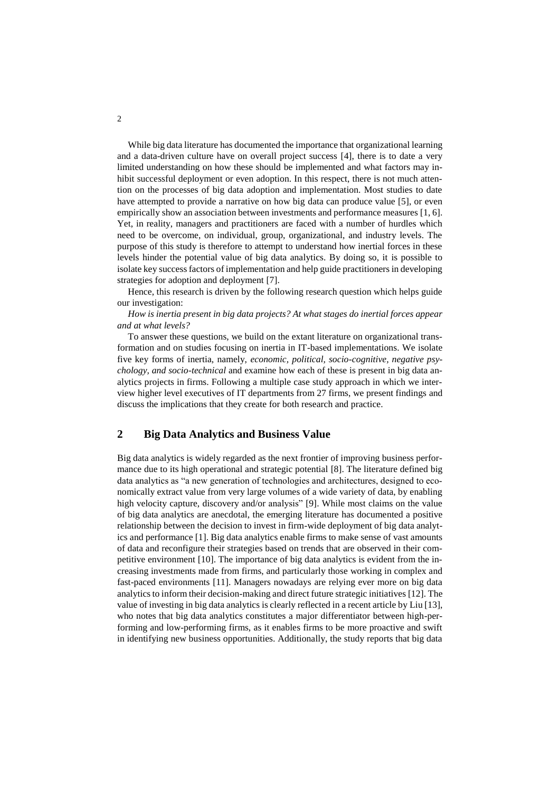While big data literature has documented the importance that organizational learning and a data-driven culture have on overall project success [4], there is to date a very limited understanding on how these should be implemented and what factors may inhibit successful deployment or even adoption. In this respect, there is not much attention on the processes of big data adoption and implementation. Most studies to date have attempted to provide a narrative on how big data can produce value [5], or even empirically show an association between investments and performance measures [1, 6]. Yet, in reality, managers and practitioners are faced with a number of hurdles which need to be overcome, on individual, group, organizational, and industry levels. The purpose of this study is therefore to attempt to understand how inertial forces in these levels hinder the potential value of big data analytics. By doing so, it is possible to isolate key success factors of implementation and help guide practitioners in developing strategies for adoption and deployment [7].

Hence, this research is driven by the following research question which helps guide our investigation:

*How is inertia present in big data projects? At what stages do inertial forces appear and at what levels?*

To answer these questions, we build on the extant literature on organizational transformation and on studies focusing on inertia in IT-based implementations. We isolate five key forms of inertia, namely, *economic, political, socio-cognitive, negative psychology, and socio-technical* and examine how each of these is present in big data analytics projects in firms. Following a multiple case study approach in which we interview higher level executives of IT departments from 27 firms, we present findings and discuss the implications that they create for both research and practice.

# **2 Big Data Analytics and Business Value**

Big data analytics is widely regarded as the next frontier of improving business performance due to its high operational and strategic potential [8]. The literature defined big data analytics as "a new generation of technologies and architectures, designed to economically extract value from very large volumes of a wide variety of data, by enabling high velocity capture, discovery and/or analysis" [9]. While most claims on the value of big data analytics are anecdotal, the emerging literature has documented a positive relationship between the decision to invest in firm-wide deployment of big data analytics and performance [1]. Big data analytics enable firms to make sense of vast amounts of data and reconfigure their strategies based on trends that are observed in their competitive environment [10]. The importance of big data analytics is evident from the increasing investments made from firms, and particularly those working in complex and fast-paced environments [11]. Managers nowadays are relying ever more on big data analytics to inform their decision-making and direct future strategic initiatives [12]. The value of investing in big data analytics is clearly reflected in a recent article by Liu [13], who notes that big data analytics constitutes a major differentiator between high-performing and low-performing firms, as it enables firms to be more proactive and swift in identifying new business opportunities. Additionally, the study reports that big data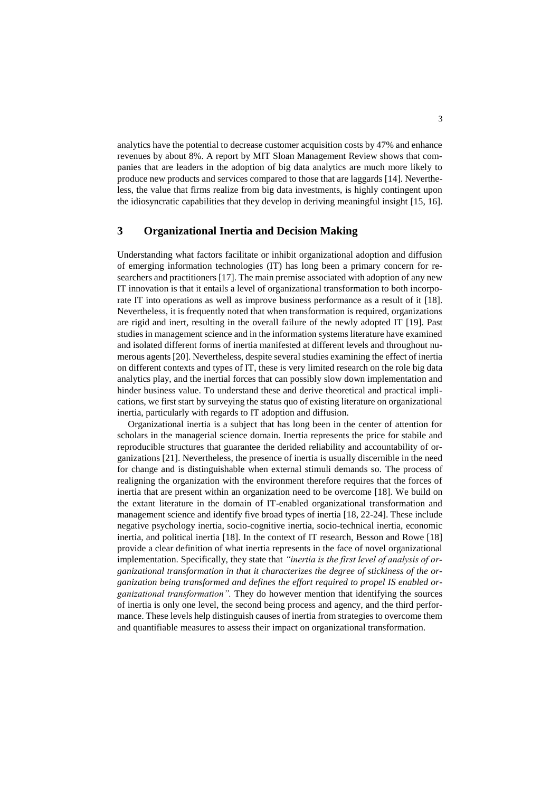analytics have the potential to decrease customer acquisition costs by 47% and enhance revenues by about 8%. A report by MIT Sloan Management Review shows that companies that are leaders in the adoption of big data analytics are much more likely to produce new products and services compared to those that are laggards [14]. Nevertheless, the value that firms realize from big data investments, is highly contingent upon the idiosyncratic capabilities that they develop in deriving meaningful insight [15, 16].

# **3 Organizational Inertia and Decision Making**

Understanding what factors facilitate or inhibit organizational adoption and diffusion of emerging information technologies (IT) has long been a primary concern for researchers and practitioners [17]. The main premise associated with adoption of any new IT innovation is that it entails a level of organizational transformation to both incorporate IT into operations as well as improve business performance as a result of it [18]. Nevertheless, it is frequently noted that when transformation is required, organizations are rigid and inert, resulting in the overall failure of the newly adopted IT [19]. Past studies in management science and in the information systems literature have examined and isolated different forms of inertia manifested at different levels and throughout numerous agents [20]. Nevertheless, despite several studies examining the effect of inertia on different contexts and types of IT, these is very limited research on the role big data analytics play, and the inertial forces that can possibly slow down implementation and hinder business value. To understand these and derive theoretical and practical implications, we first start by surveying the status quo of existing literature on organizational inertia, particularly with regards to IT adoption and diffusion.

Organizational inertia is a subject that has long been in the center of attention for scholars in the managerial science domain. Inertia represents the price for stabile and reproducible structures that guarantee the derided reliability and accountability of organizations [21]. Nevertheless, the presence of inertia is usually discernible in the need for change and is distinguishable when external stimuli demands so. The process of realigning the organization with the environment therefore requires that the forces of inertia that are present within an organization need to be overcome [18]. We build on the extant literature in the domain of IT-enabled organizational transformation and management science and identify five broad types of inertia [18, 22-24]. These include negative psychology inertia, socio-cognitive inertia, socio-technical inertia, economic inertia, and political inertia [18]. In the context of IT research, Besson and Rowe [18] provide a clear definition of what inertia represents in the face of novel organizational implementation. Specifically, they state that *"inertia is the first level of analysis of organizational transformation in that it characterizes the degree of stickiness of the organization being transformed and defines the effort required to propel IS enabled organizational transformation".* They do however mention that identifying the sources of inertia is only one level, the second being process and agency, and the third performance. These levels help distinguish causes of inertia from strategies to overcome them and quantifiable measures to assess their impact on organizational transformation.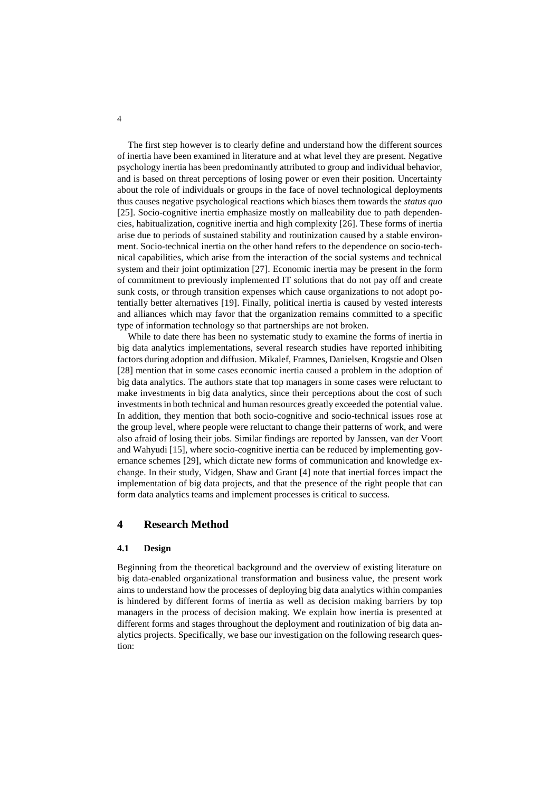The first step however is to clearly define and understand how the different sources of inertia have been examined in literature and at what level they are present. Negative psychology inertia has been predominantly attributed to group and individual behavior, and is based on threat perceptions of losing power or even their position. Uncertainty about the role of individuals or groups in the face of novel technological deployments thus causes negative psychological reactions which biases them towards the *status quo* [25]. Socio-cognitive inertia emphasize mostly on malleability due to path dependencies, habitualization, cognitive inertia and high complexity [26]. These forms of inertia arise due to periods of sustained stability and routinization caused by a stable environment. Socio-technical inertia on the other hand refers to the dependence on socio-technical capabilities, which arise from the interaction of the social systems and technical system and their joint optimization [27]. Economic inertia may be present in the form of commitment to previously implemented IT solutions that do not pay off and create sunk costs, or through transition expenses which cause organizations to not adopt potentially better alternatives [19]. Finally, political inertia is caused by vested interests and alliances which may favor that the organization remains committed to a specific type of information technology so that partnerships are not broken.

While to date there has been no systematic study to examine the forms of inertia in big data analytics implementations, several research studies have reported inhibiting factors during adoption and diffusion. Mikalef, Framnes, Danielsen, Krogstie and Olsen [28] mention that in some cases economic inertia caused a problem in the adoption of big data analytics. The authors state that top managers in some cases were reluctant to make investments in big data analytics, since their perceptions about the cost of such investments in both technical and human resources greatly exceeded the potential value. In addition, they mention that both socio-cognitive and socio-technical issues rose at the group level, where people were reluctant to change their patterns of work, and were also afraid of losing their jobs. Similar findings are reported by Janssen, van der Voort and Wahyudi [15], where socio-cognitive inertia can be reduced by implementing governance schemes [29], which dictate new forms of communication and knowledge exchange. In their study, Vidgen, Shaw and Grant [4] note that inertial forces impact the implementation of big data projects, and that the presence of the right people that can form data analytics teams and implement processes is critical to success.

# **4 Research Method**

#### **4.1 Design**

Beginning from the theoretical background and the overview of existing literature on big data-enabled organizational transformation and business value, the present work aims to understand how the processes of deploying big data analytics within companies is hindered by different forms of inertia as well as decision making barriers by top managers in the process of decision making. We explain how inertia is presented at different forms and stages throughout the deployment and routinization of big data analytics projects. Specifically, we base our investigation on the following research question:

4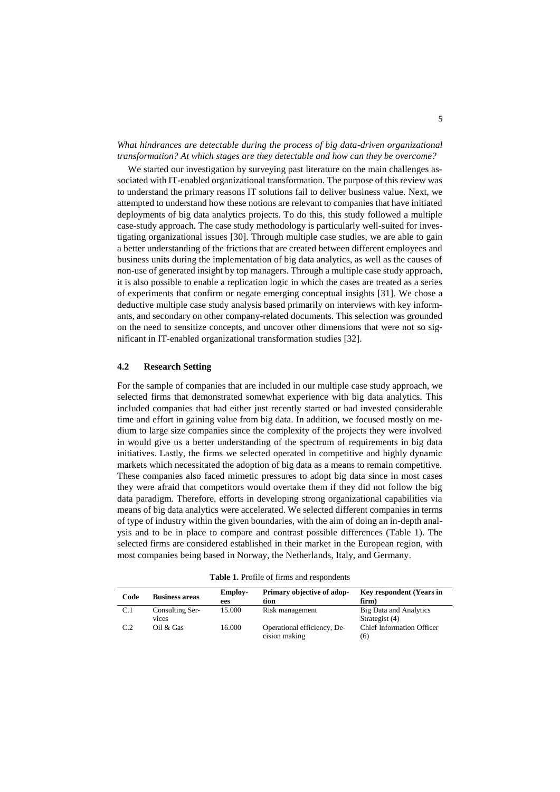# *What hindrances are detectable during the process of big data-driven organizational transformation? At which stages are they detectable and how can they be overcome?*

We started our investigation by surveying past literature on the main challenges associated with IT-enabled organizational transformation. The purpose of this review was to understand the primary reasons IT solutions fail to deliver business value. Next, we attempted to understand how these notions are relevant to companies that have initiated deployments of big data analytics projects. To do this, this study followed a multiple case-study approach. The case study methodology is particularly well-suited for investigating organizational issues [30]. Through multiple case studies, we are able to gain a better understanding of the frictions that are created between different employees and business units during the implementation of big data analytics, as well as the causes of non-use of generated insight by top managers. Through a multiple case study approach, it is also possible to enable a replication logic in which the cases are treated as a series of experiments that confirm or negate emerging conceptual insights [31]. We chose a deductive multiple case study analysis based primarily on interviews with key informants, and secondary on other company-related documents. This selection was grounded on the need to sensitize concepts, and uncover other dimensions that were not so significant in IT-enabled organizational transformation studies [32].

# **4.2 Research Setting**

For the sample of companies that are included in our multiple case study approach, we selected firms that demonstrated somewhat experience with big data analytics. This included companies that had either just recently started or had invested considerable time and effort in gaining value from big data. In addition, we focused mostly on medium to large size companies since the complexity of the projects they were involved in would give us a better understanding of the spectrum of requirements in big data initiatives. Lastly, the firms we selected operated in competitive and highly dynamic markets which necessitated the adoption of big data as a means to remain competitive. These companies also faced mimetic pressures to adopt big data since in most cases they were afraid that competitors would overtake them if they did not follow the big data paradigm. Therefore, efforts in developing strong organizational capabilities via means of big data analytics were accelerated. We selected different companies in terms of type of industry within the given boundaries, with the aim of doing an in-depth analysis and to be in place to compare and contrast possible differences (Table 1). The selected firms are considered established in their market in the European region, with most companies being based in Norway, the Netherlands, Italy, and Germany.

| <b>Table 1.</b> Profile of firms and respondents |  |  |
|--------------------------------------------------|--|--|
|--------------------------------------------------|--|--|

| Code | <b>Business areas</b>    | <b>Employ-</b><br>ees | Primary objective of adop-<br>tion           | <b>Key respondent (Years in</b><br>firm) |
|------|--------------------------|-----------------------|----------------------------------------------|------------------------------------------|
| С.1  | Consulting Ser-<br>vices | 15.000                | Risk management                              | Big Data and Analytics<br>Strategist (4) |
| C.2  | Oil & Gas                | 16.000                | Operational efficiency, De-<br>cision making | <b>Chief Information Officer</b><br>(6)  |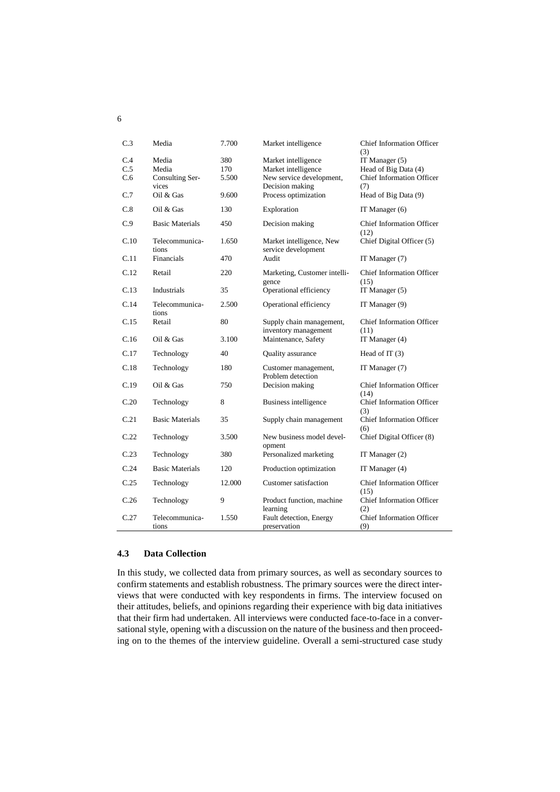| C.3  | Media                   | 7.700  | Market intelligence                              | Chief Information Officer<br>(3)         |
|------|-------------------------|--------|--------------------------------------------------|------------------------------------------|
| C.4  | Media                   | 380    | Market intelligence                              | IT Manager (5)                           |
| C.5  | Media                   | 170    | Market intelligence                              | Head of Big Data (4)                     |
| C.6  | Consulting Ser-         | 5.500  | New service development,                         | <b>Chief Information Officer</b>         |
|      | vices                   |        | Decision making                                  | (7)                                      |
| C.7  | Oil & Gas               | 9.600  | Process optimization                             | Head of Big Data (9)                     |
| C.8  | Oil & Gas               | 130    | Exploration                                      | IT Manager (6)                           |
| C.9  | <b>Basic Materials</b>  | 450    | Decision making                                  | <b>Chief Information Officer</b><br>(12) |
| C.10 | Telecommunica-<br>tions | 1.650  | Market intelligence, New<br>service development  | Chief Digital Officer (5)                |
| C.11 | Financials              | 470    | Audit                                            | IT Manager (7)                           |
| C.12 | Retail                  | 220    | Marketing, Customer intelli-<br>gence            | <b>Chief Information Officer</b><br>(15) |
| C.13 | Industrials             | 35     | Operational efficiency                           | IT Manager $(5)$                         |
| C.14 | Telecommunica-<br>tions | 2.500  | Operational efficiency                           | IT Manager (9)                           |
| C.15 | Retail                  | 80     | Supply chain management,<br>inventory management | <b>Chief Information Officer</b><br>(11) |
| C.16 | Oil & Gas               | 3.100  | Maintenance, Safety                              | IT Manager (4)                           |
| C.17 | Technology              | 40     | Quality assurance                                | Head of $IT(3)$                          |
| C.18 | Technology              | 180    | Customer management,<br>Problem detection        | IT Manager (7)                           |
| C.19 | Oil & Gas               | 750    | Decision making                                  | <b>Chief Information Officer</b><br>(14) |
| C.20 | Technology              | 8      | Business intelligence                            | Chief Information Officer<br>(3)         |
| C.21 | <b>Basic Materials</b>  | 35     | Supply chain management                          | <b>Chief Information Officer</b><br>(6)  |
| C.22 | Technology              | 3.500  | New business model devel-<br>opment              | Chief Digital Officer (8)                |
| C.23 | Technology              | 380    | Personalized marketing                           | IT Manager $(2)$                         |
| C.24 | <b>Basic Materials</b>  | 120    | Production optimization                          | IT Manager (4)                           |
| C.25 | Technology              | 12.000 | <b>Customer satisfaction</b>                     | <b>Chief Information Officer</b><br>(15) |
| C.26 | Technology              | 9      | Product function, machine<br>learning            | <b>Chief Information Officer</b><br>(2)  |
| C.27 | Telecommunica-<br>tions | 1.550  | Fault detection, Energy<br>preservation          | <b>Chief Information Officer</b><br>(9)  |

# **4.3 Data Collection**

In this study, we collected data from primary sources, as well as secondary sources to confirm statements and establish robustness. The primary sources were the direct interviews that were conducted with key respondents in firms. The interview focused on their attitudes, beliefs, and opinions regarding their experience with big data initiatives that their firm had undertaken. All interviews were conducted face-to-face in a conversational style, opening with a discussion on the nature of the business and then proceeding on to the themes of the interview guideline. Overall a semi-structured case study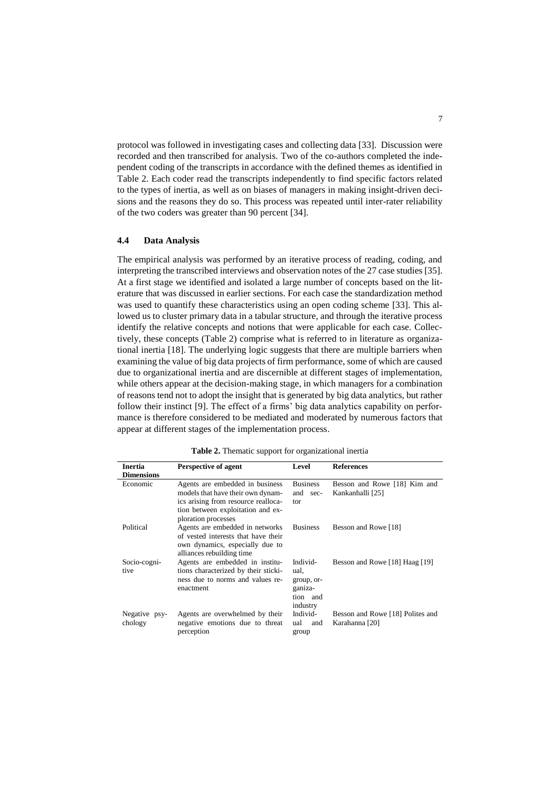protocol was followed in investigating cases and collecting data [33]. Discussion were recorded and then transcribed for analysis. Two of the co-authors completed the independent coding of the transcripts in accordance with the defined themes as identified in Table 2. Each coder read the transcripts independently to find specific factors related to the types of inertia, as well as on biases of managers in making insight-driven decisions and the reasons they do so. This process was repeated until inter-rater reliability of the two coders was greater than 90 percent [34].

# **4.4 Data Analysis**

The empirical analysis was performed by an iterative process of reading, coding, and interpreting the transcribed interviews and observation notes of the 27 case studies [35]. At a first stage we identified and isolated a large number of concepts based on the literature that was discussed in earlier sections. For each case the standardization method was used to quantify these characteristics using an open coding scheme [33]. This allowed us to cluster primary data in a tabular structure, and through the iterative process identify the relative concepts and notions that were applicable for each case. Collectively, these concepts (Table 2) comprise what is referred to in literature as organizational inertia [18]. The underlying logic suggests that there are multiple barriers when examining the value of big data projects of firm performance, some of which are caused due to organizational inertia and are discernible at different stages of implementation, while others appear at the decision-making stage, in which managers for a combination of reasons tend not to adopt the insight that is generated by big data analytics, but rather follow their instinct [9]. The effect of a firms' big data analytics capability on performance is therefore considered to be mediated and moderated by numerous factors that appear at different stages of the implementation process.

| <b>Inertia</b><br><b>Dimensions</b> | <b>Perspective of agent</b>                                                                                                                                             | Level                                                             | <b>References</b>                                  |
|-------------------------------------|-------------------------------------------------------------------------------------------------------------------------------------------------------------------------|-------------------------------------------------------------------|----------------------------------------------------|
| Economic                            | Agents are embedded in business<br>models that have their own dynam-<br>ics arising from resource realloca-<br>tion between exploitation and ex-<br>ploration processes | <b>Business</b><br>and sec-<br>tor                                | Besson and Rowe [18] Kim and<br>Kankanhalli [25]   |
| Political                           | Agents are embedded in networks<br>of vested interests that have their<br>own dynamics, especially due to<br>alliances rebuilding time                                  | <b>Business</b>                                                   | Besson and Rowe [18]                               |
| Socio-cogni-<br>tive                | Agents are embedded in institu-<br>tions characterized by their sticki-<br>ness due to norms and values re-<br>enactment                                                | Individ-<br>ual.<br>group, or-<br>ganiza-<br>tion and<br>industry | Besson and Rowe [18] Haag [19]                     |
| Negative psy-<br>chology            | Agents are overwhelmed by their<br>negative emotions due to threat<br>perception                                                                                        | Individ-<br>ual<br>and<br>group                                   | Besson and Rowe [18] Polites and<br>Karahanna [20] |

**Table 2.** Thematic support for organizational inertia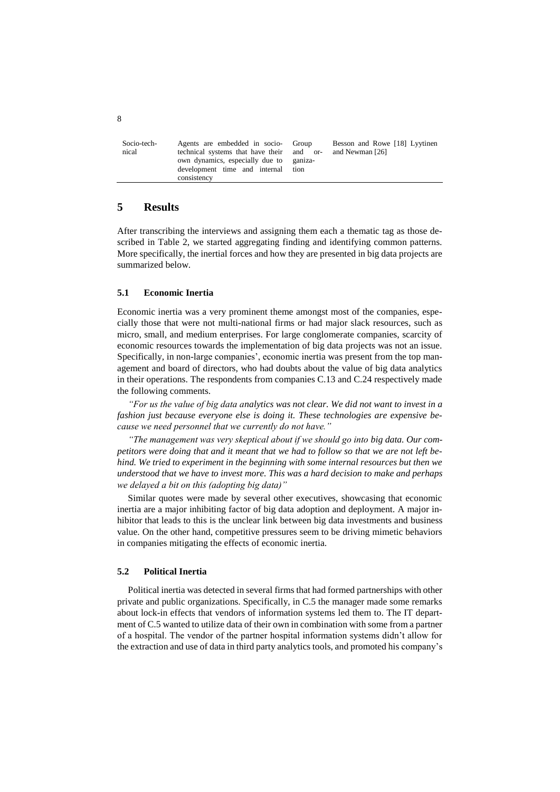| Socio-tech-<br>nical | Agents are embedded in socio- Group<br>technical systems that have their and or-<br>own dynamics, especially due to ganiza-<br>development time and internal<br>consistency | tion | Besson and Rowe [18] Lyytinen<br>and Newman [26] |
|----------------------|-----------------------------------------------------------------------------------------------------------------------------------------------------------------------------|------|--------------------------------------------------|
|----------------------|-----------------------------------------------------------------------------------------------------------------------------------------------------------------------------|------|--------------------------------------------------|

# **5 Results**

After transcribing the interviews and assigning them each a thematic tag as those described in Table 2, we started aggregating finding and identifying common patterns. More specifically, the inertial forces and how they are presented in big data projects are summarized below.

#### **5.1 Economic Inertia**

Economic inertia was a very prominent theme amongst most of the companies, especially those that were not multi-national firms or had major slack resources, such as micro, small, and medium enterprises. For large conglomerate companies, scarcity of economic resources towards the implementation of big data projects was not an issue. Specifically, in non-large companies', economic inertia was present from the top management and board of directors, who had doubts about the value of big data analytics in their operations. The respondents from companies C.13 and C.24 respectively made the following comments.

*"For us the value of big data analytics was not clear. We did not want to invest in a fashion just because everyone else is doing it. These technologies are expensive because we need personnel that we currently do not have."*

*"The management was very skeptical about if we should go into big data. Our competitors were doing that and it meant that we had to follow so that we are not left behind. We tried to experiment in the beginning with some internal resources but then we understood that we have to invest more. This was a hard decision to make and perhaps we delayed a bit on this (adopting big data)"*

Similar quotes were made by several other executives, showcasing that economic inertia are a major inhibiting factor of big data adoption and deployment. A major inhibitor that leads to this is the unclear link between big data investments and business value. On the other hand, competitive pressures seem to be driving mimetic behaviors in companies mitigating the effects of economic inertia.

#### **5.2 Political Inertia**

Political inertia was detected in several firms that had formed partnerships with other private and public organizations. Specifically, in C.5 the manager made some remarks about lock-in effects that vendors of information systems led them to. The IT department of C.5 wanted to utilize data of their own in combination with some from a partner of a hospital. The vendor of the partner hospital information systems didn't allow for the extraction and use of data in third party analytics tools, and promoted his company's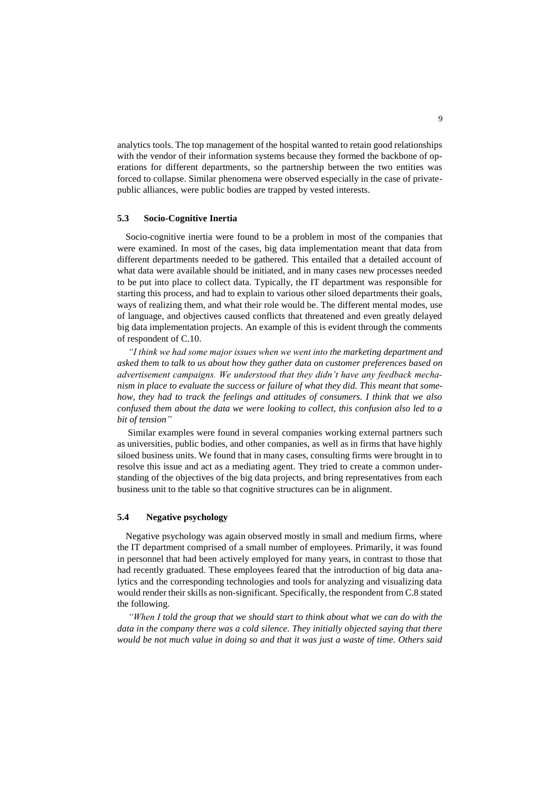analytics tools. The top management of the hospital wanted to retain good relationships with the vendor of their information systems because they formed the backbone of operations for different departments, so the partnership between the two entities was forced to collapse. Similar phenomena were observed especially in the case of privatepublic alliances, were public bodies are trapped by vested interests.

#### **5.3 Socio-Cognitive Inertia**

Socio-cognitive inertia were found to be a problem in most of the companies that were examined. In most of the cases, big data implementation meant that data from different departments needed to be gathered. This entailed that a detailed account of what data were available should be initiated, and in many cases new processes needed to be put into place to collect data. Typically, the IT department was responsible for starting this process, and had to explain to various other siloed departments their goals, ways of realizing them, and what their role would be. The different mental modes, use of language, and objectives caused conflicts that threatened and even greatly delayed big data implementation projects. An example of this is evident through the comments of respondent of C.10.

*"I think we had some major issues when we went into the marketing department and asked them to talk to us about how they gather data on customer preferences based on advertisement campaigns. We understood that they didn't have any feedback mechanism in place to evaluate the success or failure of what they did. This meant that somehow, they had to track the feelings and attitudes of consumers. I think that we also confused them about the data we were looking to collect, this confusion also led to a bit of tension"*

Similar examples were found in several companies working external partners such as universities, public bodies, and other companies, as well as in firms that have highly siloed business units. We found that in many cases, consulting firms were brought in to resolve this issue and act as a mediating agent. They tried to create a common understanding of the objectives of the big data projects, and bring representatives from each business unit to the table so that cognitive structures can be in alignment.

#### **5.4 Negative psychology**

Negative psychology was again observed mostly in small and medium firms, where the IT department comprised of a small number of employees. Primarily, it was found in personnel that had been actively employed for many years, in contrast to those that had recently graduated. These employees feared that the introduction of big data analytics and the corresponding technologies and tools for analyzing and visualizing data would render their skills as non-significant. Specifically, the respondent from C.8 stated the following.

*"When I told the group that we should start to think about what we can do with the data in the company there was a cold silence. They initially objected saying that there would be not much value in doing so and that it was just a waste of time. Others said*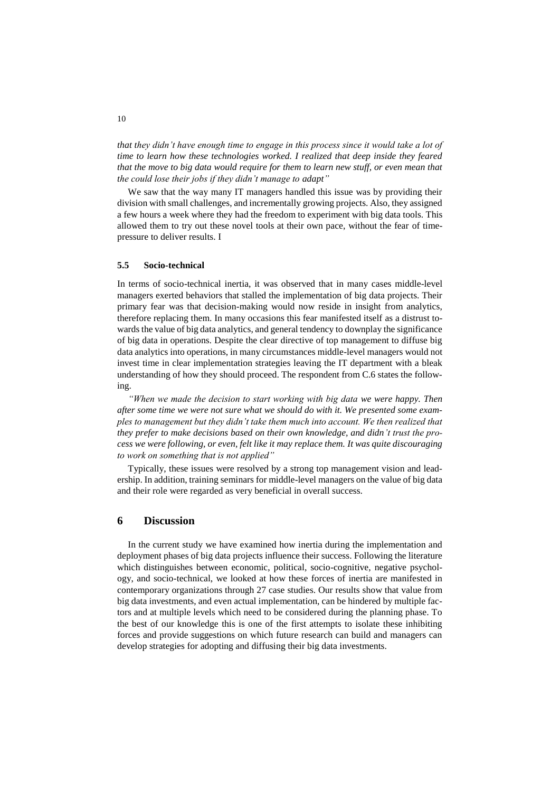*that they didn't have enough time to engage in this process since it would take a lot of time to learn how these technologies worked. I realized that deep inside they feared that the move to big data would require for them to learn new stuff, or even mean that the could lose their jobs if they didn't manage to adapt"*

We saw that the way many IT managers handled this issue was by providing their division with small challenges, and incrementally growing projects. Also, they assigned a few hours a week where they had the freedom to experiment with big data tools. This allowed them to try out these novel tools at their own pace, without the fear of timepressure to deliver results. I

# **5.5 Socio-technical**

In terms of socio-technical inertia, it was observed that in many cases middle-level managers exerted behaviors that stalled the implementation of big data projects. Their primary fear was that decision-making would now reside in insight from analytics, therefore replacing them. In many occasions this fear manifested itself as a distrust towards the value of big data analytics, and general tendency to downplay the significance of big data in operations. Despite the clear directive of top management to diffuse big data analytics into operations, in many circumstances middle-level managers would not invest time in clear implementation strategies leaving the IT department with a bleak understanding of how they should proceed. The respondent from C.6 states the following.

*"When we made the decision to start working with big data we were happy. Then after some time we were not sure what we should do with it. We presented some examples to management but they didn't take them much into account. We then realized that they prefer to make decisions based on their own knowledge, and didn't trust the process we were following, or even, felt like it may replace them. It was quite discouraging to work on something that is not applied"*

Typically, these issues were resolved by a strong top management vision and leadership. In addition, training seminars for middle-level managers on the value of big data and their role were regarded as very beneficial in overall success.

# **6 Discussion**

In the current study we have examined how inertia during the implementation and deployment phases of big data projects influence their success. Following the literature which distinguishes between economic, political, socio-cognitive, negative psychology, and socio-technical, we looked at how these forces of inertia are manifested in contemporary organizations through 27 case studies. Our results show that value from big data investments, and even actual implementation, can be hindered by multiple factors and at multiple levels which need to be considered during the planning phase. To the best of our knowledge this is one of the first attempts to isolate these inhibiting forces and provide suggestions on which future research can build and managers can develop strategies for adopting and diffusing their big data investments.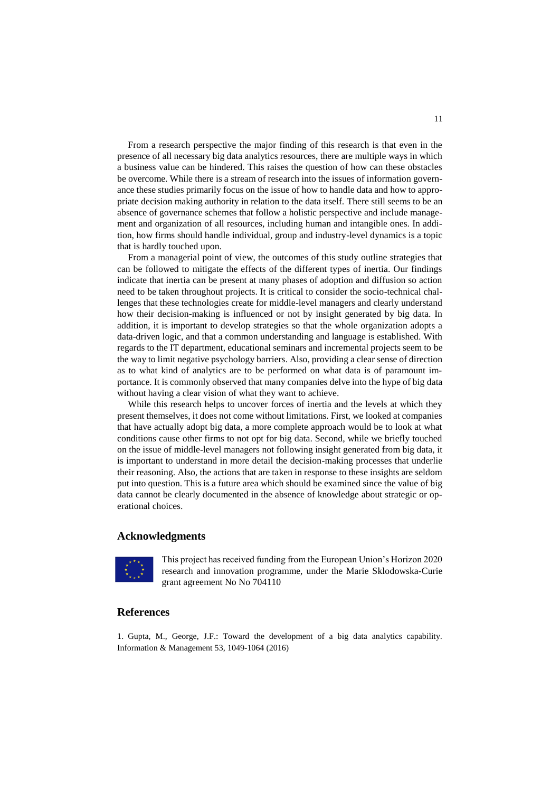From a research perspective the major finding of this research is that even in the presence of all necessary big data analytics resources, there are multiple ways in which a business value can be hindered. This raises the question of how can these obstacles be overcome. While there is a stream of research into the issues of information governance these studies primarily focus on the issue of how to handle data and how to appropriate decision making authority in relation to the data itself. There still seems to be an absence of governance schemes that follow a holistic perspective and include management and organization of all resources, including human and intangible ones. In addition, how firms should handle individual, group and industry-level dynamics is a topic that is hardly touched upon.

From a managerial point of view, the outcomes of this study outline strategies that can be followed to mitigate the effects of the different types of inertia. Our findings indicate that inertia can be present at many phases of adoption and diffusion so action need to be taken throughout projects. It is critical to consider the socio-technical challenges that these technologies create for middle-level managers and clearly understand how their decision-making is influenced or not by insight generated by big data. In addition, it is important to develop strategies so that the whole organization adopts a data-driven logic, and that a common understanding and language is established. With regards to the IT department, educational seminars and incremental projects seem to be the way to limit negative psychology barriers. Also, providing a clear sense of direction as to what kind of analytics are to be performed on what data is of paramount importance. It is commonly observed that many companies delve into the hype of big data without having a clear vision of what they want to achieve.

While this research helps to uncover forces of inertia and the levels at which they present themselves, it does not come without limitations. First, we looked at companies that have actually adopt big data, a more complete approach would be to look at what conditions cause other firms to not opt for big data. Second, while we briefly touched on the issue of middle-level managers not following insight generated from big data, it is important to understand in more detail the decision-making processes that underlie their reasoning. Also, the actions that are taken in response to these insights are seldom put into question. This is a future area which should be examined since the value of big data cannot be clearly documented in the absence of knowledge about strategic or operational choices.

#### **Acknowledgments**



This project has received funding from the European Union's Horizon 2020 research and innovation programme, under the Marie Sklodowska-Curie grant agreement No No 704110

# **References**

1. Gupta, M., George, J.F.: Toward the development of a big data analytics capability. Information & Management 53, 1049-1064 (2016)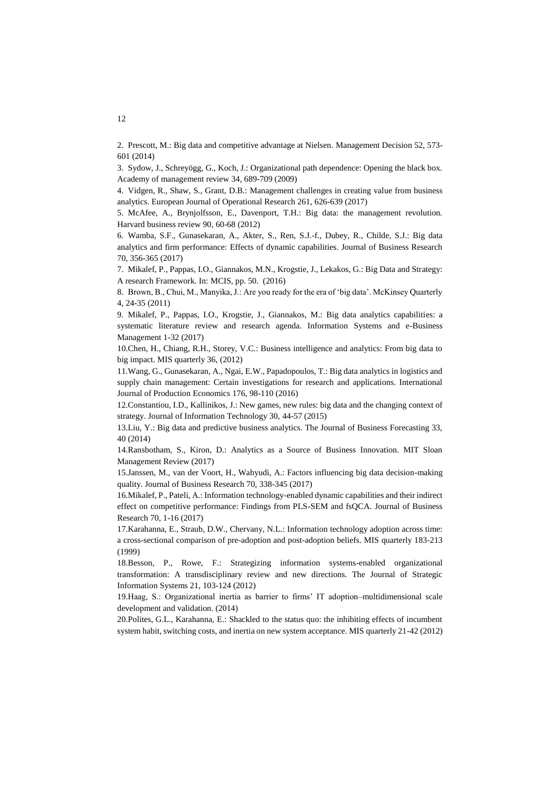2. Prescott, M.: Big data and competitive advantage at Nielsen. Management Decision 52, 573- 601 (2014)

3. Sydow, J., Schreyögg, G., Koch, J.: Organizational path dependence: Opening the black box. Academy of management review 34, 689-709 (2009)

4. Vidgen, R., Shaw, S., Grant, D.B.: Management challenges in creating value from business analytics. European Journal of Operational Research 261, 626-639 (2017)

5. McAfee, A., Brynjolfsson, E., Davenport, T.H.: Big data: the management revolution. Harvard business review 90, 60-68 (2012)

6. Wamba, S.F., Gunasekaran, A., Akter, S., Ren, S.J.-f., Dubey, R., Childe, S.J.: Big data analytics and firm performance: Effects of dynamic capabilities. Journal of Business Research 70, 356-365 (2017)

7. Mikalef, P., Pappas, I.O., Giannakos, M.N., Krogstie, J., Lekakos, G.: Big Data and Strategy: A research Framework. In: MCIS, pp. 50. (2016)

8. Brown, B., Chui, M., Manyika, J.: Are you ready for the era of 'big data'. McKinsey Quarterly 4, 24-35 (2011)

9. Mikalef, P., Pappas, I.O., Krogstie, J., Giannakos, M.: Big data analytics capabilities: a systematic literature review and research agenda. Information Systems and e-Business Management 1-32 (2017)

10.Chen, H., Chiang, R.H., Storey, V.C.: Business intelligence and analytics: From big data to big impact. MIS quarterly 36, (2012)

11.Wang, G., Gunasekaran, A., Ngai, E.W., Papadopoulos, T.: Big data analytics in logistics and supply chain management: Certain investigations for research and applications. International Journal of Production Economics 176, 98-110 (2016)

12.Constantiou, I.D., Kallinikos, J.: New games, new rules: big data and the changing context of strategy. Journal of Information Technology 30, 44-57 (2015)

13.Liu, Y.: Big data and predictive business analytics. The Journal of Business Forecasting 33, 40 (2014)

14.Ransbotham, S., Kiron, D.: Analytics as a Source of Business Innovation. MIT Sloan Management Review (2017)

15.Janssen, M., van der Voort, H., Wahyudi, A.: Factors influencing big data decision-making quality. Journal of Business Research 70, 338-345 (2017)

16.Mikalef, P., Pateli, A.: Information technology-enabled dynamic capabilities and their indirect effect on competitive performance: Findings from PLS-SEM and fsQCA. Journal of Business Research 70, 1-16 (2017)

17.Karahanna, E., Straub, D.W., Chervany, N.L.: Information technology adoption across time: a cross-sectional comparison of pre-adoption and post-adoption beliefs. MIS quarterly 183-213 (1999)

18.Besson, P., Rowe, F.: Strategizing information systems-enabled organizational transformation: A transdisciplinary review and new directions. The Journal of Strategic Information Systems 21, 103-124 (2012)

19.Haag, S.: Organizational inertia as barrier to firms' IT adoption–multidimensional scale development and validation. (2014)

20.Polites, G.L., Karahanna, E.: Shackled to the status quo: the inhibiting effects of incumbent system habit, switching costs, and inertia on new system acceptance. MIS quarterly 21-42 (2012)